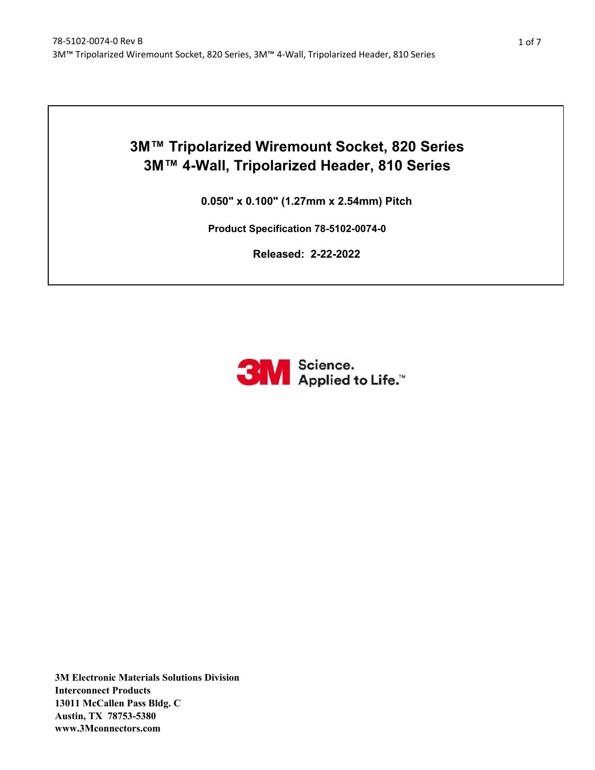# **3M™ Tripolarized Wiremount Socket, 820 Series 3M™ 4-Wall, Tripolarized Header, 810 Series**

**0.050" x 0.100" (1.27mm x 2.54mm) Pitch**

**Product Specification 78-5102-0074-0**

**Released: 2-22-2022**

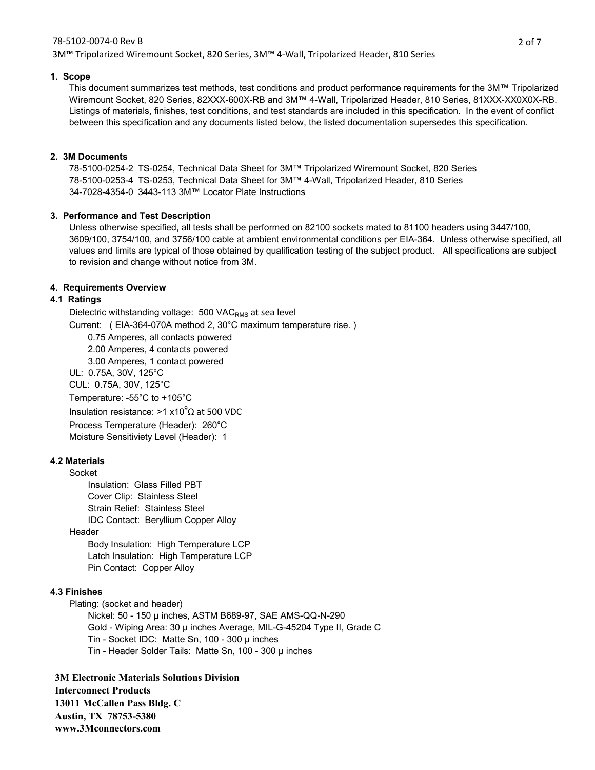#### 78-5102-0074-0 Rev B

3M™ Tripolarized Wiremount Socket, 820 Series, 3M™ 4-Wall, Tripolarized Header, 810 Series

#### **1. Scope**

This document summarizes test methods, test conditions and product performance requirements for the 3M™ Tripolarized Wiremount Socket, 820 Series, 82XXX-600X-RB and 3M™ 4-Wall, Tripolarized Header, 810 Series, 81XXX-XX0X0X-RB. Listings of materials, finishes, test conditions, and test standards are included in this specification. In the event of conflict between this specification and any documents listed below, the listed documentation supersedes this specification.

## **2. 3M Documents**

78-5100-0254-2 TS-0254, Technical Data Sheet for 3M™ Tripolarized Wiremount Socket, 820 Series 78-5100-0253-4 TS-0253, Technical Data Sheet for 3M™ 4-Wall, Tripolarized Header, 810 Series 34-7028-4354-0 3443-113 3M™ Locator Plate Instructions

# **3. Performance and Test Description**

Unless otherwise specified, all tests shall be performed on 82100 sockets mated to 81100 headers using 3447/100, 3609/100, 3754/100, and 3756/100 cable at ambient environmental conditions per EIA-364. Unless otherwise specified, all values and limits are typical of those obtained by qualification testing of the subject product. All specifications are subject to revision and change without notice from 3M.

# **4. Requirements Overview**

# **4.1 Ratings**

Dielectric withstanding voltage: 500 VAC<sub>RMS</sub> at sea level

Current: ( EIA-364-070A method 2, 30°C maximum temperature rise. )

0.75 Amperes, all contacts powered

2.00 Amperes, 4 contacts powered

3.00 Amperes, 1 contact powered

UL: 0.75A, 30V, 125°C

CUL: 0.75A, 30V, 125°C

Temperature: -55°C to +105°C

Insulation resistance: >1 x10 $^9$  $\Omega$  at 500 VDC

Process Temperature (Header): 260°C

Moisture Sensitiviety Level (Header): 1

# **4.2 Materials**

Socket Insulation: Glass Filled PBT Cover Clip: Stainless Steel Strain Relief: Stainless Steel IDC Contact: Beryllium Copper Alloy

## Header

Body Insulation: High Temperature LCP Latch Insulation: High Temperature LCP Pin Contact: Copper Alloy

## **4.3 Finishes**

Plating: (socket and header)

Nickel: 50 - 150 µ inches, ASTM B689-97, SAE AMS-QQ-N-290 Gold - Wiping Area: 30 µ inches Average, MIL-G-45204 Type II, Grade C Tin - Socket IDC: Matte Sn, 100 - 300 µ inches Tin - Header Solder Tails: Matte Sn, 100 - 300 µ inches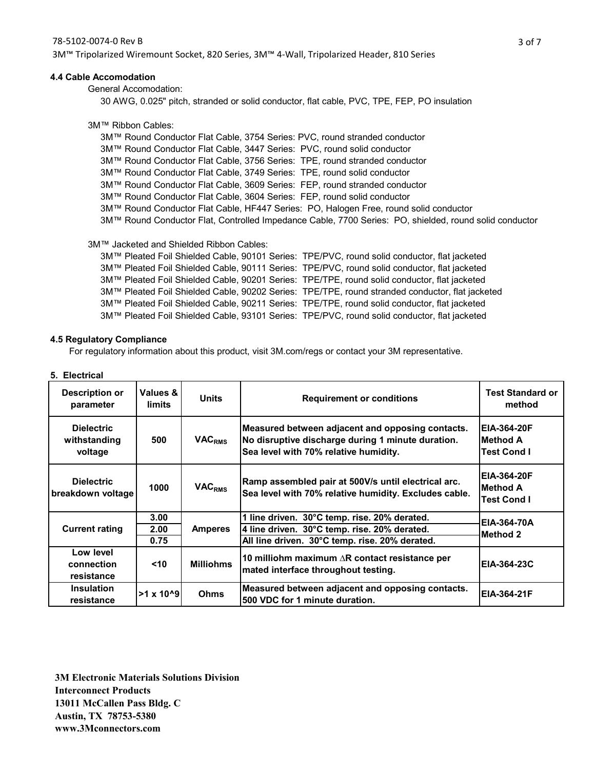3M™ Tripolarized Wiremount Socket, 820 Series, 3M™ 4-Wall, Tripolarized Header, 810 Series

#### **4.4 Cable Accomodation**

General Accomodation:

30 AWG, 0.025" pitch, stranded or solid conductor, flat cable, PVC, TPE, FEP, PO insulation

#### 3M™ Ribbon Cables:

3M™ Round Conductor Flat Cable, 3754 Series: PVC, round stranded conductor 3M™ Round Conductor Flat Cable, 3447 Series: PVC, round solid conductor 3M™ Round Conductor Flat Cable, 3756 Series: TPE, round stranded conductor 3M™ Round Conductor Flat Cable, 3749 Series: TPE, round solid conductor 3M™ Round Conductor Flat Cable, 3609 Series: FEP, round stranded conductor 3M™ Round Conductor Flat Cable, 3604 Series: FEP, round solid conductor 3M™ Round Conductor Flat Cable, HF447 Series: PO, Halogen Free, round solid conductor 3M™ Round Conductor Flat, Controlled Impedance Cable, 7700 Series: PO, shielded, round solid conductor

3M™ Jacketed and Shielded Ribbon Cables:

3M™ Pleated Foil Shielded Cable, 90101 Series: TPE/PVC, round solid conductor, flat jacketed 3M™ Pleated Foil Shielded Cable, 90111 Series: TPE/PVC, round solid conductor, flat jacketed 3M™ Pleated Foil Shielded Cable, 90201 Series: TPE/TPE, round solid conductor, flat jacketed 3M™ Pleated Foil Shielded Cable, 90202 Series: TPE/TPE, round stranded conductor, flat jacketed 3M™ Pleated Foil Shielded Cable, 90211 Series: TPE/TPE, round solid conductor, flat jacketed 3M™ Pleated Foil Shielded Cable, 93101 Series: TPE/PVC, round solid conductor, flat jacketed

#### **4.5 Regulatory Compliance**

For regulatory information about this product, visit 3M.com/regs or contact your 3M representative.

#### **5. Electrical**

| Description or<br>parameter                  | Values &<br>limits   | <b>Units</b>             | <b>Requirement or conditions</b>                                                                                                               | <b>Test Standard or</b><br>method              |  |
|----------------------------------------------|----------------------|--------------------------|------------------------------------------------------------------------------------------------------------------------------------------------|------------------------------------------------|--|
| <b>Dielectric</b><br>withstanding<br>voltage | 500                  | <b>VAC<sub>RMS</sub></b> | Measured between adjacent and opposing contacts.<br>No disruptive discharge during 1 minute duration.<br>Sea level with 70% relative humidity. | <b>EIA-364-20F</b><br>IMethod A<br>Test Cond I |  |
| <b>Dielectric</b><br>breakdown voltage       | 1000                 | <b>VACRMS</b>            | Ramp assembled pair at 500V/s until electrical arc.<br>Sea level with 70% relative humidity. Excludes cable.                                   | <b>EIA-364-20F</b><br>IMethod A<br>Test Cond I |  |
|                                              | 3.00                 |                          | 1 line driven. 30°C temp. rise. 20% derated.                                                                                                   | EIA-364-70A                                    |  |
| <b>Current rating</b>                        | 2.00                 | <b>Amperes</b>           | 4 line driven. 30°C temp. rise. 20% derated.                                                                                                   | Method 2                                       |  |
|                                              | 0.75                 |                          | All line driven. 30°C temp. rise. 20% derated.                                                                                                 |                                                |  |
| Low level<br>connection<br>resistance        | $<$ 10               | <b>Milliohms</b>         | 10 milliohm maximum $\Delta$ R contact resistance per<br>mated interface throughout testing.                                                   | EIA-364-23C                                    |  |
| <b>Insulation</b><br>resistance              | $>1 \times 10^{6}$ 9 | Ohms                     | Measured between adjacent and opposing contacts.<br>500 VDC for 1 minute duration.                                                             | EIA-364-21F                                    |  |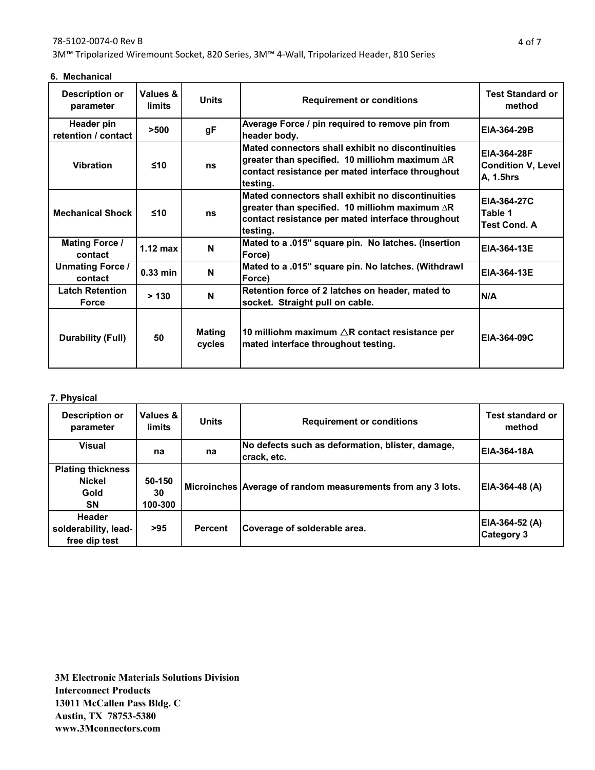## 78-5102-0074-0 Rev B

3M™ Tripolarized Wiremount Socket, 820 Series, 3M™ 4-Wall, Tripolarized Header, 810 Series

| 6. Mechanical |
|---------------|
|               |

| <b>Description or</b><br>parameter     | Values &<br>limits | Units            | <b>Requirement or conditions</b>                                                                                                                                             | <b>Test Standard or</b><br>method                     |
|----------------------------------------|--------------------|------------------|------------------------------------------------------------------------------------------------------------------------------------------------------------------------------|-------------------------------------------------------|
| Header pin<br>retention / contact      | >500               | gF               | Average Force / pin required to remove pin from<br>header body.                                                                                                              | EIA-364-29B                                           |
| <b>Vibration</b>                       | $\leq 10$          | ns               | Mated connectors shall exhibit no discontinuities<br>greater than specified. 10 milliohm maximum $\Delta$ R<br>contact resistance per mated interface throughout<br>testing. | EIA-364-28F<br><b>Condition V, Level</b><br>A, 1.5hrs |
| <b>Mechanical Shock</b>                | $\leq 10$          | ns               | Mated connectors shall exhibit no discontinuities<br>greater than specified. 10 milliohm maximum $\Delta$ R<br>contact resistance per mated interface throughout<br>testing. | <b>EIA-364-27C</b><br>Table 1<br>Test Cond. A         |
| <b>Mating Force /</b><br>contact       | 1.12 max           | N                | Mated to a .015" square pin. No latches. (Insertion<br>Force)                                                                                                                | <b>EIA-364-13E</b>                                    |
| <b>Unmating Force /</b><br>contact     | $0.33$ min         | N                | Mated to a .015" square pin. No latches. (Withdrawl<br><b>EIA-364-13E</b><br>Force)                                                                                          |                                                       |
| <b>Latch Retention</b><br><b>Force</b> | > 130              | N                | Retention force of 2 latches on header, mated to<br>socket. Straight pull on cable.                                                                                          | N/A                                                   |
| Durability (Full)                      | 50                 | Mating<br>cycles | 10 milliohm maximum $\triangle$ R contact resistance per<br>mated interface throughout testing.                                                                              | EIA-364-09C                                           |

# **7. Physical**

| Description or<br>parameter                                    | Values &<br>limits      | <b>Units</b>   | <b>Requirement or conditions</b>                                | <b>Test standard or</b><br>method    |
|----------------------------------------------------------------|-------------------------|----------------|-----------------------------------------------------------------|--------------------------------------|
| <b>Visual</b>                                                  | na                      | na             | No defects such as deformation, blister, damage,<br>crack, etc. | <b>EIA-364-18A</b>                   |
| <b>Plating thickness</b><br><b>Nickel</b><br>Gold<br><b>SN</b> | 50-150<br>30<br>100-300 |                | Microinches Average of random measurements from any 3 lots.     | EIA-364-48 (A)                       |
| <b>Header</b><br>solderability, lead-<br>free dip test         | >95                     | <b>Percent</b> | Coverage of solderable area.                                    | $EIA-364-52(A)$<br><b>Category 3</b> |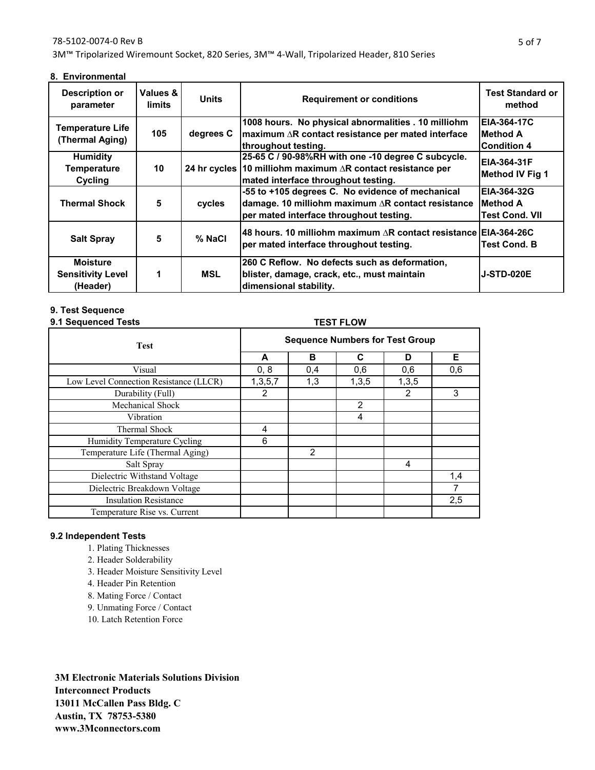#### 78-5102-0074-0 Rev B

3M™ Tripolarized Wiremount Socket, 820 Series, 3M™ 4-Wall, Tripolarized Header, 810 Series

**8. Environmental**

| Description or<br>parameter                             | Values &<br>limits | <b>Units</b> | <b>Requirement or conditions</b>                                                                                                                                | <b>Test Standard or</b><br>method                    |
|---------------------------------------------------------|--------------------|--------------|-----------------------------------------------------------------------------------------------------------------------------------------------------------------|------------------------------------------------------|
| Temperature Life<br>(Thermal Aging)                     | 105                | degrees C    | 1008 hours. No physical abnormalities . 10 milliohm<br>$\frac{1}{2}$ maximum $\Delta$ R contact resistance per mated interface<br>throughout testing.           | <b>EIA-364-17C</b><br>Method A<br><b>Condition 4</b> |
| <b>Humidity</b><br><b>Temperature</b><br><b>Cycling</b> | 10                 |              | 25-65 C / 90-98%RH with one -10 degree C subcycle.<br>24 hr cycles 10 milliohm maximum $\Delta$ R contact resistance per<br>mated interface throughout testing. | EIA-364-31F<br>Method IV Fig 1                       |
| <b>Thermal Shock</b>                                    | 5                  | cycles       | -55 to +105 degrees C. No evidence of mechanical<br>damage. 10 milliohm maximum AR contact resistance<br>per mated interface throughout testing.                | EIA-364-32G<br><b>Method A</b><br>Test Cond. VII     |
| <b>Salt Spray</b>                                       | 5                  | % NaCl       | I48 hours. 10 milliohm maximum ∆R contact resistance IEIA-364-26C<br>per mated interface throughout testing.                                                    | Test Cond. B                                         |
| <b>Moisture</b><br><b>Sensitivity Level</b><br>(Header) | 1                  | MSL          | 260 C Reflow. No defects such as deformation,<br>blister, damage, crack, etc., must maintain<br>dimensional stability.                                          | <b>J-STD-020E</b>                                    |

#### **9. Test Sequence**

#### **9.1 Sequenced Tests TEST FLOW**

| . <b>.</b>                             |                                        |               |                |               |     |
|----------------------------------------|----------------------------------------|---------------|----------------|---------------|-----|
| <b>Test</b>                            | <b>Sequence Numbers for Test Group</b> |               |                |               |     |
|                                        | A                                      | B             | C              | D             | Е   |
| Visual                                 | 0, 8                                   | 0,4           | 0,6            | 0,6           | 0,6 |
| Low Level Connection Resistance (LLCR) | 1,3,5,7                                | 1,3           | 1,3,5          | 1,3,5         |     |
| Durability (Full)                      | 2                                      |               |                | $\mathcal{P}$ | 3   |
| Mechanical Shock                       |                                        |               | $\overline{2}$ |               |     |
| Vibration                              |                                        |               | 4              |               |     |
| Thermal Shock                          | 4                                      |               |                |               |     |
| Humidity Temperature Cycling           | 6                                      |               |                |               |     |
| Temperature Life (Thermal Aging)       |                                        | $\mathcal{P}$ |                |               |     |
| Salt Spray                             |                                        |               |                | 4             |     |
| Dielectric Withstand Voltage           |                                        |               |                |               | 1,4 |
| Dielectric Breakdown Voltage           |                                        |               |                |               |     |
| <b>Insulation Resistance</b>           |                                        |               |                |               | 2,5 |
| Temperature Rise vs. Current           |                                        |               |                |               |     |

## **9.2 Independent Tests**

- 1. Plating Thicknesses
- 2. Header Solderability
- 3. Header Moisture Sensitivity Level
- 4. Header Pin Retention
- 8. Mating Force / Contact
- 9. Unmating Force / Contact
- 10. Latch Retention Force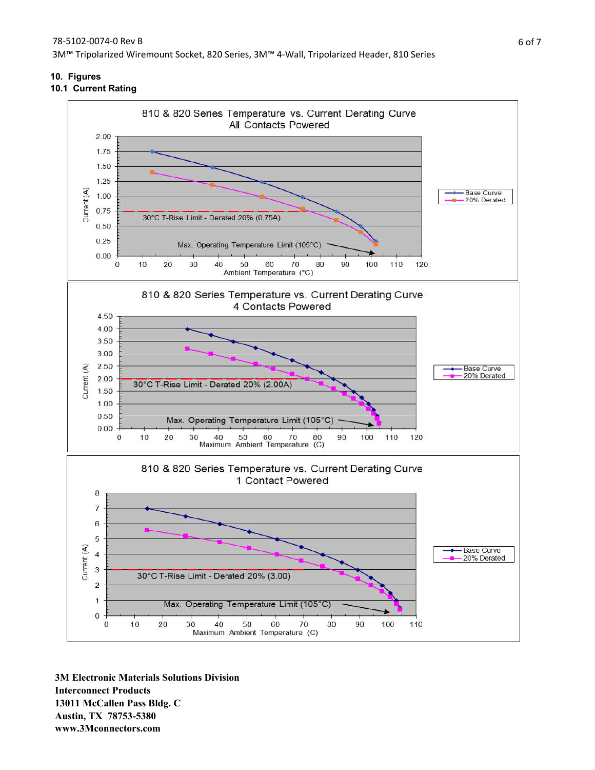**10. Figures**

# **10.1 Current Rating**